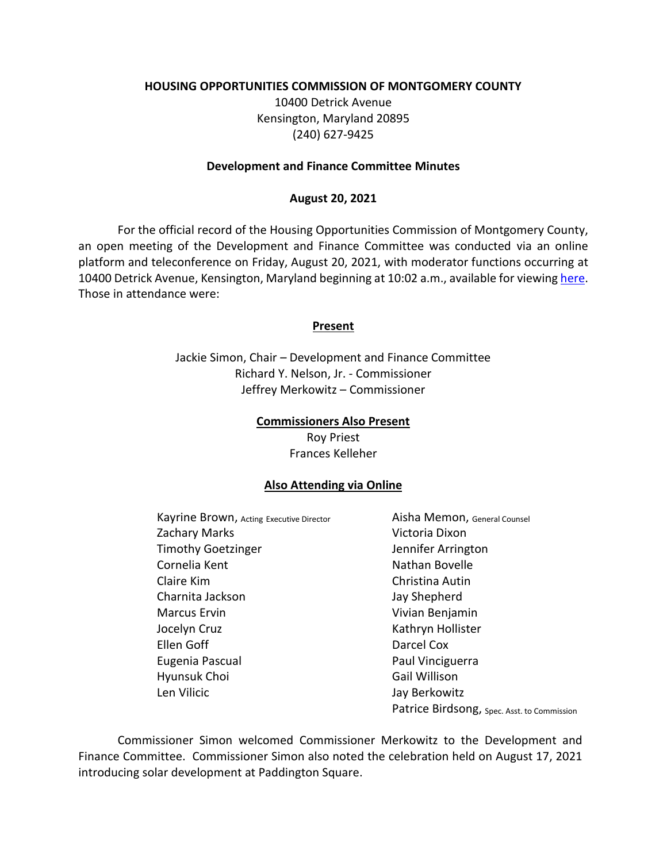### **HOUSING OPPORTUNITIES COMMISSION OF MONTGOMERY COUNTY**

10400 Detrick Avenue Kensington, Maryland 20895 (240) 627-9425

### **Development and Finance Committee Minutes**

### **August 20, 2021**

For the official record of the Housing Opportunities Commission of Montgomery County, an open meeting of the Development and Finance Committee was conducted via an online platform and teleconference on Friday, August 20, 2021, with moderator functions occurring at 10400 Detrick Avenue, Kensington, Maryland beginning at 10:02 a.m., available for viewing [here.](https://youtu.be/OEJbKBNMvxY) Those in attendance were:

#### **Present**

Jackie Simon, Chair – Development and Finance Committee Richard Y. Nelson, Jr. - Commissioner Jeffrey Merkowitz – Commissioner

#### **Commissioners Also Present**

Roy Priest Frances Kelleher

### **Also Attending via Online**

Kayrine Brown, Acting Executive Director **Aisha Memon**, General Counsel Zachary Marks **Victoria Dixon** Timothy Goetzinger **Jennifer Arrington** Cornelia Kent Nathan Bovelle Claire Kim Christina Autin Charnita Jackson Jay Shepherd Marcus Ervin Vivian Benjamin Jocelyn Cruz **Kathryn Hollister** Kathryn Hollister Ellen Goff **Darcel Cox** Eugenia Pascual **Paul Vinciguerra** Hyunsuk Choi Gail Willison Len Vilicic **Anticometer Contract Contract Contract Contract Contract Contract Contract Contract Contract Contract Contract Contract Contract Contract Contract Contract Contract Contract Contract Contract Contract Contract** 

Patrice Birdsong, Spec. Asst. to Commission

Commissioner Simon welcomed Commissioner Merkowitz to the Development and Finance Committee. Commissioner Simon also noted the celebration held on August 17, 2021 introducing solar development at Paddington Square.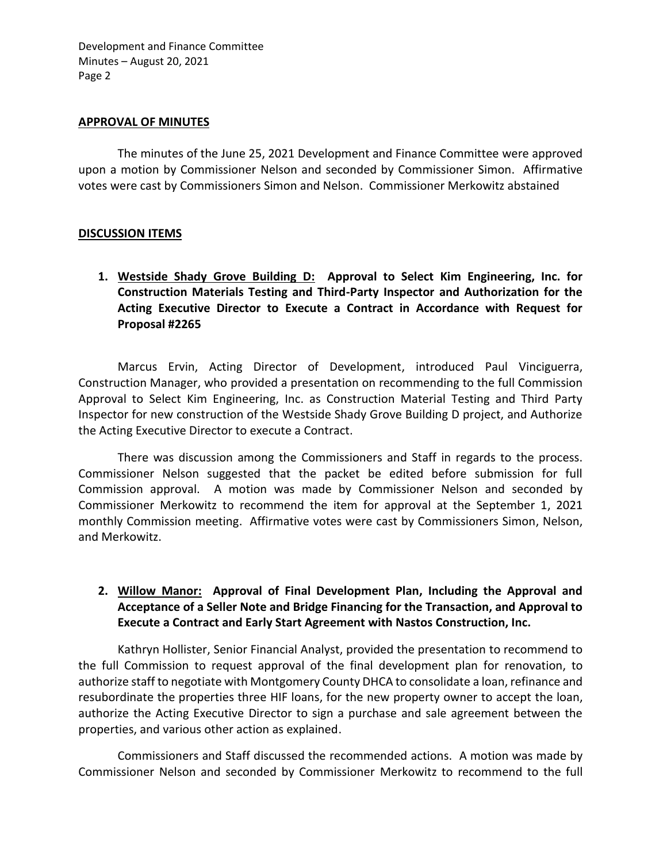### **APPROVAL OF MINUTES**

The minutes of the June 25, 2021 Development and Finance Committee were approved upon a motion by Commissioner Nelson and seconded by Commissioner Simon. Affirmative votes were cast by Commissioners Simon and Nelson. Commissioner Merkowitz abstained

## **DISCUSSION ITEMS**

**1. Westside Shady Grove Building D: Approval to Select Kim Engineering, Inc. for Construction Materials Testing and Third-Party Inspector and Authorization for the Acting Executive Director to Execute a Contract in Accordance with Request for Proposal #2265**

Marcus Ervin, Acting Director of Development, introduced Paul Vinciguerra, Construction Manager, who provided a presentation on recommending to the full Commission Approval to Select Kim Engineering, Inc. as Construction Material Testing and Third Party Inspector for new construction of the Westside Shady Grove Building D project, and Authorize the Acting Executive Director to execute a Contract.

There was discussion among the Commissioners and Staff in regards to the process. Commissioner Nelson suggested that the packet be edited before submission for full Commission approval. A motion was made by Commissioner Nelson and seconded by Commissioner Merkowitz to recommend the item for approval at the September 1, 2021 monthly Commission meeting. Affirmative votes were cast by Commissioners Simon, Nelson, and Merkowitz.

# **2. Willow Manor: Approval of Final Development Plan, Including the Approval and Acceptance of a Seller Note and Bridge Financing for the Transaction, and Approval to Execute a Contract and Early Start Agreement with Nastos Construction, Inc.**

Kathryn Hollister, Senior Financial Analyst, provided the presentation to recommend to the full Commission to request approval of the final development plan for renovation, to authorize staff to negotiate with Montgomery County DHCA to consolidate a loan, refinance and resubordinate the properties three HIF loans, for the new property owner to accept the loan, authorize the Acting Executive Director to sign a purchase and sale agreement between the properties, and various other action as explained.

Commissioners and Staff discussed the recommended actions. A motion was made by Commissioner Nelson and seconded by Commissioner Merkowitz to recommend to the full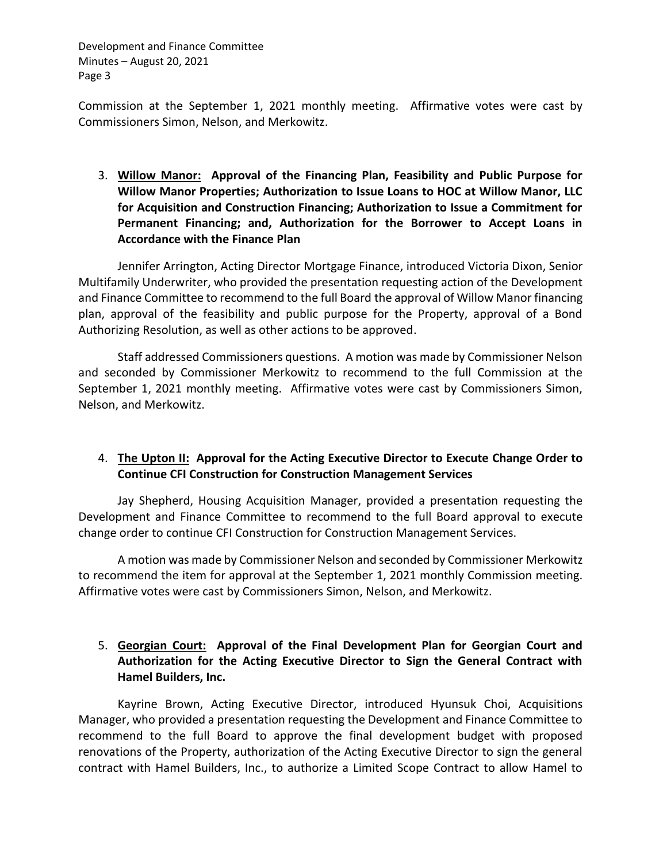Commission at the September 1, 2021 monthly meeting. Affirmative votes were cast by Commissioners Simon, Nelson, and Merkowitz.

3. **Willow Manor: Approval of the Financing Plan, Feasibility and Public Purpose for Willow Manor Properties; Authorization to Issue Loans to HOC at Willow Manor, LLC for Acquisition and Construction Financing; Authorization to Issue a Commitment for Permanent Financing; and, Authorization for the Borrower to Accept Loans in Accordance with the Finance Plan**

Jennifer Arrington, Acting Director Mortgage Finance, introduced Victoria Dixon, Senior Multifamily Underwriter, who provided the presentation requesting action of the Development and Finance Committee to recommend to the full Board the approval of Willow Manor financing plan, approval of the feasibility and public purpose for the Property, approval of a Bond Authorizing Resolution, as well as other actions to be approved.

Staff addressed Commissioners questions. A motion was made by Commissioner Nelson and seconded by Commissioner Merkowitz to recommend to the full Commission at the September 1, 2021 monthly meeting. Affirmative votes were cast by Commissioners Simon, Nelson, and Merkowitz.

# 4. **The Upton II: Approval for the Acting Executive Director to Execute Change Order to Continue CFI Construction for Construction Management Services**

Jay Shepherd, Housing Acquisition Manager, provided a presentation requesting the Development and Finance Committee to recommend to the full Board approval to execute change order to continue CFI Construction for Construction Management Services.

A motion was made by Commissioner Nelson and seconded by Commissioner Merkowitz to recommend the item for approval at the September 1, 2021 monthly Commission meeting. Affirmative votes were cast by Commissioners Simon, Nelson, and Merkowitz.

# 5. **Georgian Court: Approval of the Final Development Plan for Georgian Court and Authorization for the Acting Executive Director to Sign the General Contract with Hamel Builders, Inc.**

Kayrine Brown, Acting Executive Director, introduced Hyunsuk Choi, Acquisitions Manager, who provided a presentation requesting the Development and Finance Committee to recommend to the full Board to approve the final development budget with proposed renovations of the Property, authorization of the Acting Executive Director to sign the general contract with Hamel Builders, Inc., to authorize a Limited Scope Contract to allow Hamel to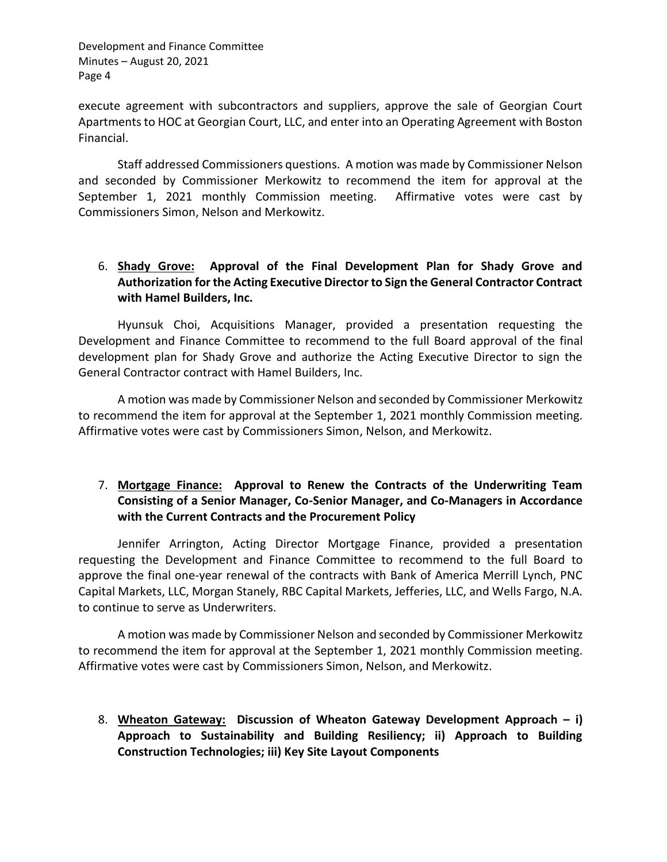execute agreement with subcontractors and suppliers, approve the sale of Georgian Court Apartments to HOC at Georgian Court, LLC, and enter into an Operating Agreement with Boston Financial.

Staff addressed Commissioners questions. A motion was made by Commissioner Nelson and seconded by Commissioner Merkowitz to recommend the item for approval at the September 1, 2021 monthly Commission meeting. Affirmative votes were cast by Commissioners Simon, Nelson and Merkowitz.

# 6. **Shady Grove: Approval of the Final Development Plan for Shady Grove and Authorization for the Acting Executive Director to Sign the General Contractor Contract with Hamel Builders, Inc.**

Hyunsuk Choi, Acquisitions Manager, provided a presentation requesting the Development and Finance Committee to recommend to the full Board approval of the final development plan for Shady Grove and authorize the Acting Executive Director to sign the General Contractor contract with Hamel Builders, Inc.

A motion was made by Commissioner Nelson and seconded by Commissioner Merkowitz to recommend the item for approval at the September 1, 2021 monthly Commission meeting. Affirmative votes were cast by Commissioners Simon, Nelson, and Merkowitz.

# 7. **Mortgage Finance: Approval to Renew the Contracts of the Underwriting Team Consisting of a Senior Manager, Co-Senior Manager, and Co-Managers in Accordance with the Current Contracts and the Procurement Policy**

Jennifer Arrington, Acting Director Mortgage Finance, provided a presentation requesting the Development and Finance Committee to recommend to the full Board to approve the final one-year renewal of the contracts with Bank of America Merrill Lynch, PNC Capital Markets, LLC, Morgan Stanely, RBC Capital Markets, Jefferies, LLC, and Wells Fargo, N.A. to continue to serve as Underwriters.

A motion was made by Commissioner Nelson and seconded by Commissioner Merkowitz to recommend the item for approval at the September 1, 2021 monthly Commission meeting. Affirmative votes were cast by Commissioners Simon, Nelson, and Merkowitz.

8. **Wheaton Gateway: Discussion of Wheaton Gateway Development Approach – i) Approach to Sustainability and Building Resiliency; ii) Approach to Building Construction Technologies; iii) Key Site Layout Components**